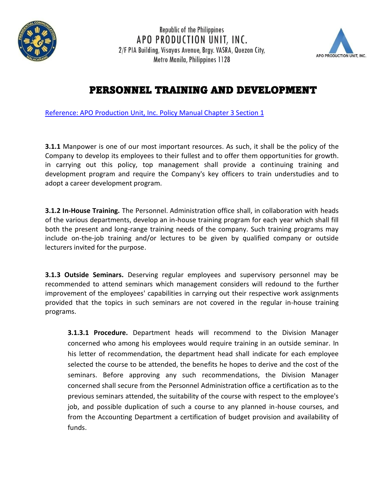

**Republic of the Philippines** APO PRODUCTION UNIT, INC. 2/F PIA Building, Visayas Avenue, Brgy. VASRA, Quezon City, Metro Manila, Philippines 1128



## PERSONNEL TRAINING AND DEVELOPMENT

Reference: APO Production Unit, Inc. Policy Manual Chapter 3 Section 1

**3.1.1** Manpower is one of our most important resources. As such, it shall be the policy of the Company to develop its employees to their fullest and to offer them opportunities for growth. in carrying out this policy, top management shall provide a continuing training and development program and require the Company's key officers to train understudies and to adopt a career development program.

**3.1.2 In-House Training.** The Personnel. Administration office shall, in collaboration with heads of the various departments, develop an in-house training program for each year which shall fill both the present and long-range training needs of the company. Such training programs may include on-the-job training and/or lectures to be given by qualified company or outside lecturers invited for the purpose.

**3.1.3 Outside Seminars.** Deserving regular employees and supervisory personnel may be recommended to attend seminars which management considers will redound to the further improvement of the employees' capabilities in carrying out their respective work assignments provided that the topics in such seminars are not covered in the regular in-house training programs.

**3.1.3.1 Procedure.** Department heads will recommend to the Division Manager concerned who among his employees would require training in an outside seminar. In his letter of recommendation, the department head shall indicate for each employee selected the course to be attended, the benefits he hopes to derive and the cost of the seminars. Before approving any such recommendations, the Division Manager concerned shall secure from the Personnel Administration office a certification as to the previous seminars attended, the suitability of the course with respect to the employee's job, and possible duplication of such a course to any planned in-house courses, and from the Accounting Department a certification of budget provision and availability of funds.